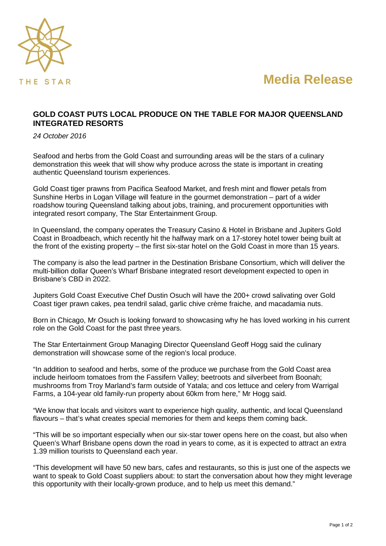

**Media Release**

## **GOLD COAST PUTS LOCAL PRODUCE ON THE TABLE FOR MAJOR QUEENSLAND INTEGRATED RESORTS**

*24 October 2016*

Seafood and herbs from the Gold Coast and surrounding areas will be the stars of a culinary demonstration this week that will show why produce across the state is important in creating authentic Queensland tourism experiences.

Gold Coast tiger prawns from Pacifica Seafood Market, and fresh mint and flower petals from Sunshine Herbs in Logan Village will feature in the gourmet demonstration – part of a wider roadshow touring Queensland talking about jobs, training, and procurement opportunities with integrated resort company, The Star Entertainment Group.

In Queensland, the company operates the Treasury Casino & Hotel in Brisbane and Jupiters Gold Coast in Broadbeach, which recently hit the halfway mark on a 17-storey hotel tower being built at the front of the existing property – the first six-star hotel on the Gold Coast in more than 15 years.

The company is also the lead partner in the Destination Brisbane Consortium, which will deliver the multi-billion dollar Queen's Wharf Brisbane integrated resort development expected to open in Brisbane's CBD in 2022.

Jupiters Gold Coast Executive Chef Dustin Osuch will have the 200+ crowd salivating over Gold Coast tiger prawn cakes, pea tendril salad, garlic chive crème fraiche, and macadamia nuts.

Born in Chicago, Mr Osuch is looking forward to showcasing why he has loved working in his current role on the Gold Coast for the past three years.

The Star Entertainment Group Managing Director Queensland Geoff Hogg said the culinary demonstration will showcase some of the region's local produce.

"In addition to seafood and herbs, some of the produce we purchase from the Gold Coast area include heirloom tomatoes from the Fassifern Valley; beetroots and silverbeet from Boonah; mushrooms from Troy Marland's farm outside of Yatala; and cos lettuce and celery from Warrigal Farms, a 104-year old family-run property about 60km from here," Mr Hogg said.

"We know that locals and visitors want to experience high quality, authentic, and local Queensland flavours – that's what creates special memories for them and keeps them coming back.

"This will be so important especially when our six-star tower opens here on the coast, but also when Queen's Wharf Brisbane opens down the road in years to come, as it is expected to attract an extra 1.39 million tourists to Queensland each year.

"This development will have 50 new bars, cafes and restaurants, so this is just one of the aspects we want to speak to Gold Coast suppliers about: to start the conversation about how they might leverage this opportunity with their locally-grown produce, and to help us meet this demand."